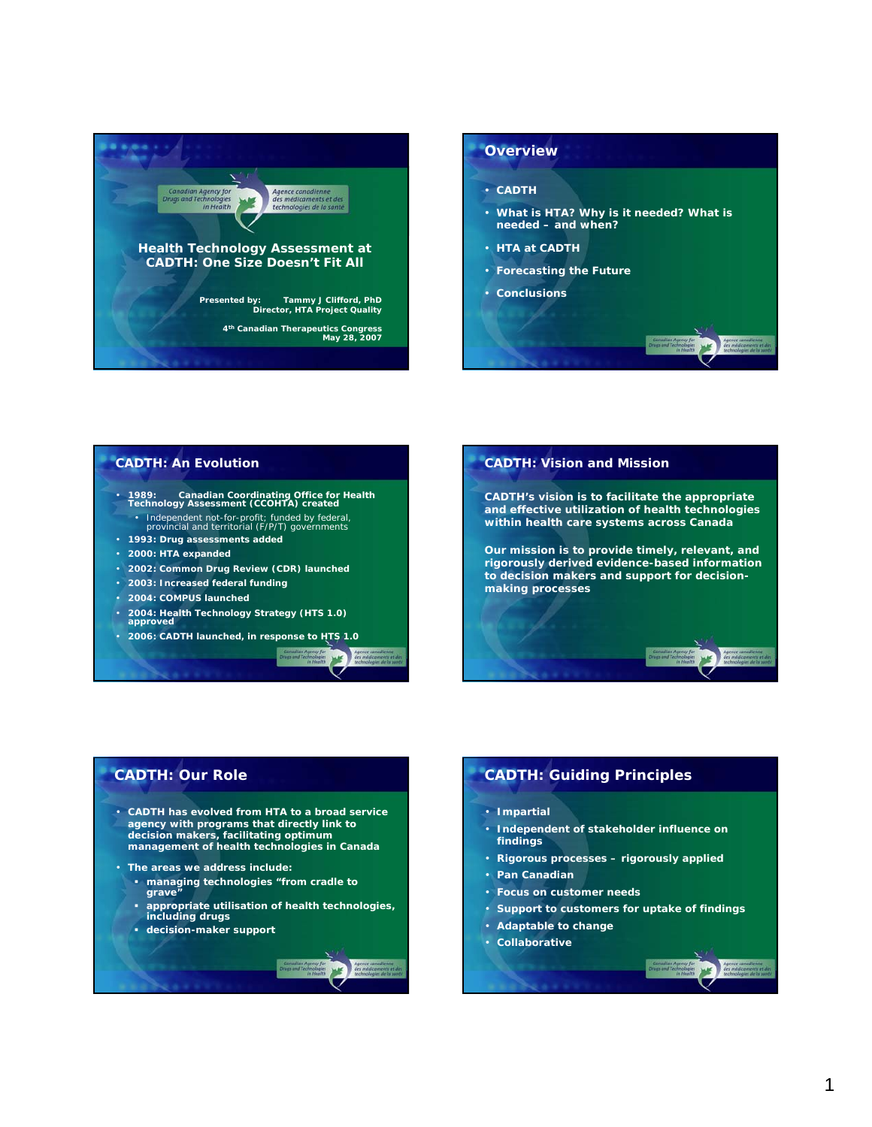



### **CADTH: An Evolution**

- **1989: Canadian Coordinating Office for Health Technology Assessment (CCOHTA) created** • *Independent not-for-profit; funded by federal, provincial and territorial (F/P/T) governments*
- 
- **1993: Drug assessments added** • **2000: HTA expanded**
- 
- **2002: Common Drug Review (CDR) launched**
- **2003: Increased federal funding**
- **2004: COMPUS launched**
- **2004: Health Technology Strategy (HTS 1.0) approved**
- **2006: CADTH launched, in response to HTS 1.0**

严



**CADTH: Vision and Mission**

**and effective utilization of health technologies within health care systems across Canada** 

**Our mission is to provide timely, relevant, and rigorously derived evidence-based information to decision makers and support for decisionmaking processes**

- **CADTH has evolved from HTA to a broad service agency with programs that directly link to decision makers, facilitating optimum management of health technologies in Canada**
- **The areas we address include:**
	- **managing technologies "from cradle to grave"**
	- **appropriate utilisation of health technologies, including drugs**
	- **decision-maker support**

## **CADTH: Our Role CADTH: Guiding Principles**

- **Impartial**
- **Independent of stakeholder influence on findings**
- **Rigorous processes rigorously applied**
- **Pan Canadian**
- **Focus on customer needs**
- **Support to customers for uptake of findings**
- **Adaptable to change**
- **Collaborative**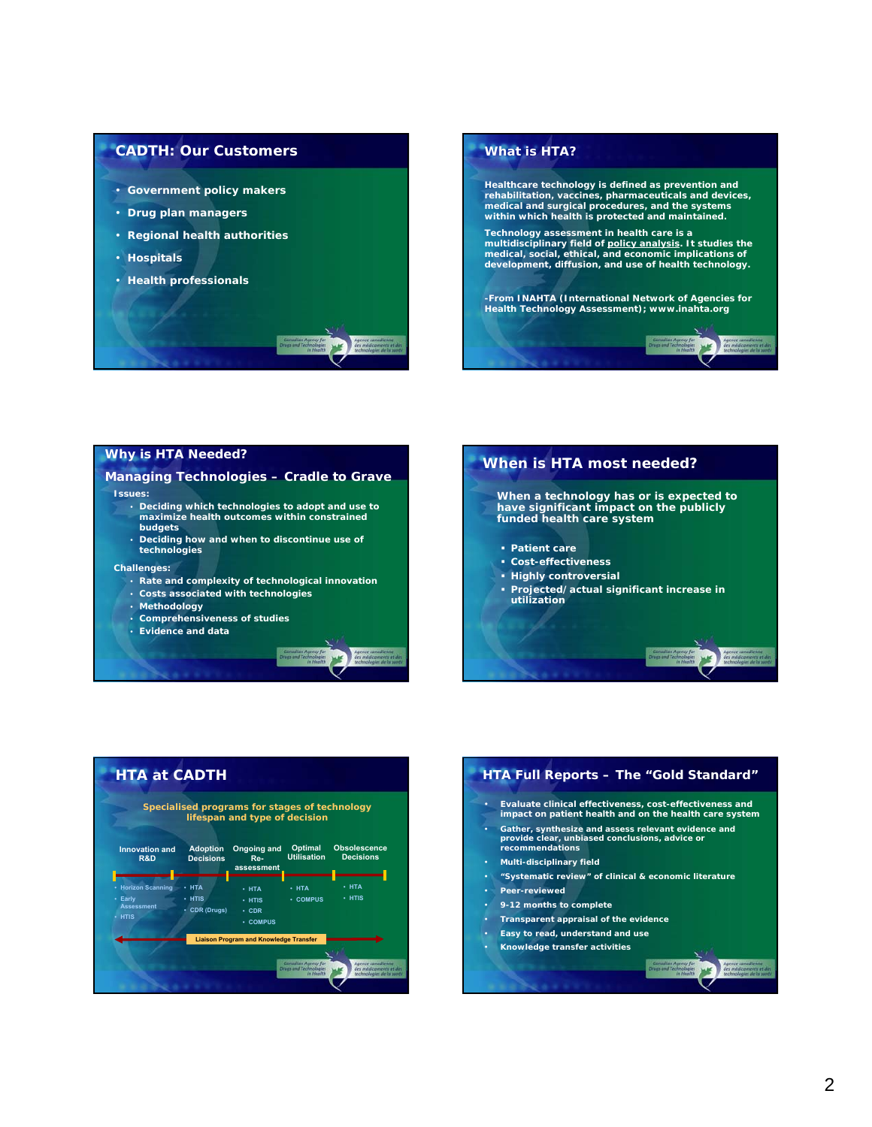### **CADTH: Our Customers**

- **Government policy makers**
- **Drug plan managers**
- **Regional health authorities**
- **Hospitals**
- **Health professionals**



### **Why is HTA Needed?**

## **Managing Technologies – Cradle to Grave**

- **Issues:** 
	- **Deciding which technologies to adopt and use to maximize health outcomes within constrained budgets**
	- **Deciding how and when to discontinue use of technologies**

#### **Challenges:**

- **Rate and complexity of technological innovation**
- **Costs associated with technologies**
- **Methodology**
- **Comprehensiveness of studies**
- **Evidence and data**







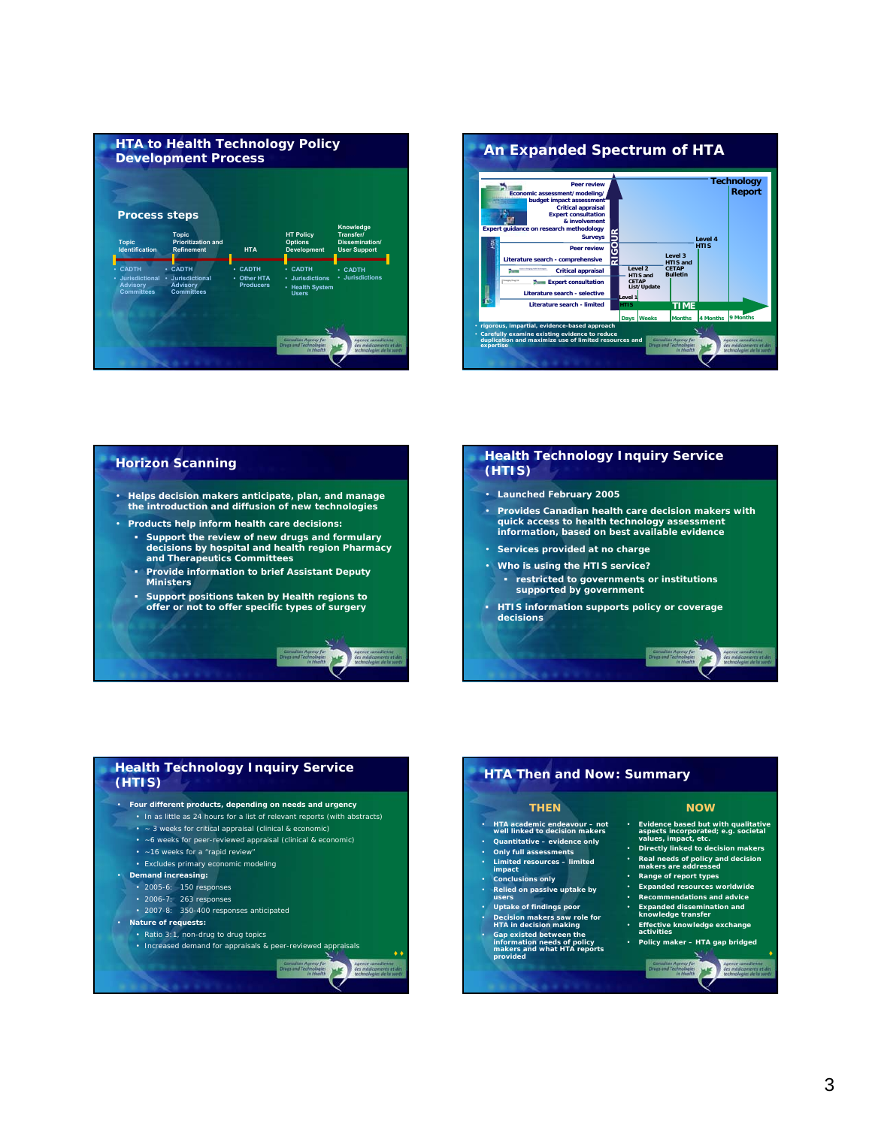



### **Horizon Scanning**

- **Helps decision makers anticipate, plan, and manage the introduction and diffusion of new technologies**
- **Products help inform health care decisions:** 
	- **Support the review of new drugs and formulary decisions by hospital and health region Pharmacy and Therapeutics Committees**
	- **Provide information to brief Assistant Deputy Ministers**
	- **Support positions taken by Health regions to offer or not to offer specific types of surgery**

#### **Health Technology Inquiry Service (HTIS)**

- **Launched February 2005**
- **Provides Canadian health care decision makers with quick access to health technology assessment information, based on best available evidence**
- **Services provided at no charge**
- **Who is using the HTIS service?**
- **restricted to governments or institutions supported by government**
- **HTIS information supports policy or coverage decisions**

### **Health Technology Inquiry Service (HTIS)**

#### • **Four different products, depending on needs and urgency**

- In as little as 24 hours for a list of relevant reports (with abstracts)
- ~ 3 weeks for critical appraisal (clinical & economic)
- ~6 weeks for peer-reviewed appraisal (clinical & economic)
- ~16 weeks for a "rapid review"
- Excludes primary economic modeling
- **Demand increasing:**
	- 2005-6: 150 responses
	- 2006-7: 263 responses
	- 2007-8: 350-400 responses anticipated
- **Nature of requests:**
	- Ratio 3:1, non-drug to drug topics
	- Increased demand for appraisals & peer-reviewed appraisals

#### **♦ ♦** 冰

**MAF** 

### **HTA Then and Now: Summary**

### **THEN**

- **HTA academic endeavour not well linked to decision makers**
- **Quantitative evidence only**  • **Only full assessments**
- **Limited resources limited**
- **impact** • **Conclusions only**
- 
- **Relied on passive uptake by users**
- 
- 
- **Uptake of findings poor Decision makers saw role for HTA in decision making Gap existed between the information needs of policy makers and what HTA reports provided**

#### **NOW**

• **Evidence based but with qualitative aspects incorporated; e.g. societal values, impact, etc.**

**WANT** 

- **Directly linked to decision makers**
- **Real needs of policy and decision makers are addressed** • **Range of report types**
- **Expanded resources worldwide**
- **Recommendations and advice**
- **Expanded dissemination and knowledge transfer**
- **Effective knowledge exchange activities** • **Policy maker – HTA gap bridged**

# 冰

**♦**